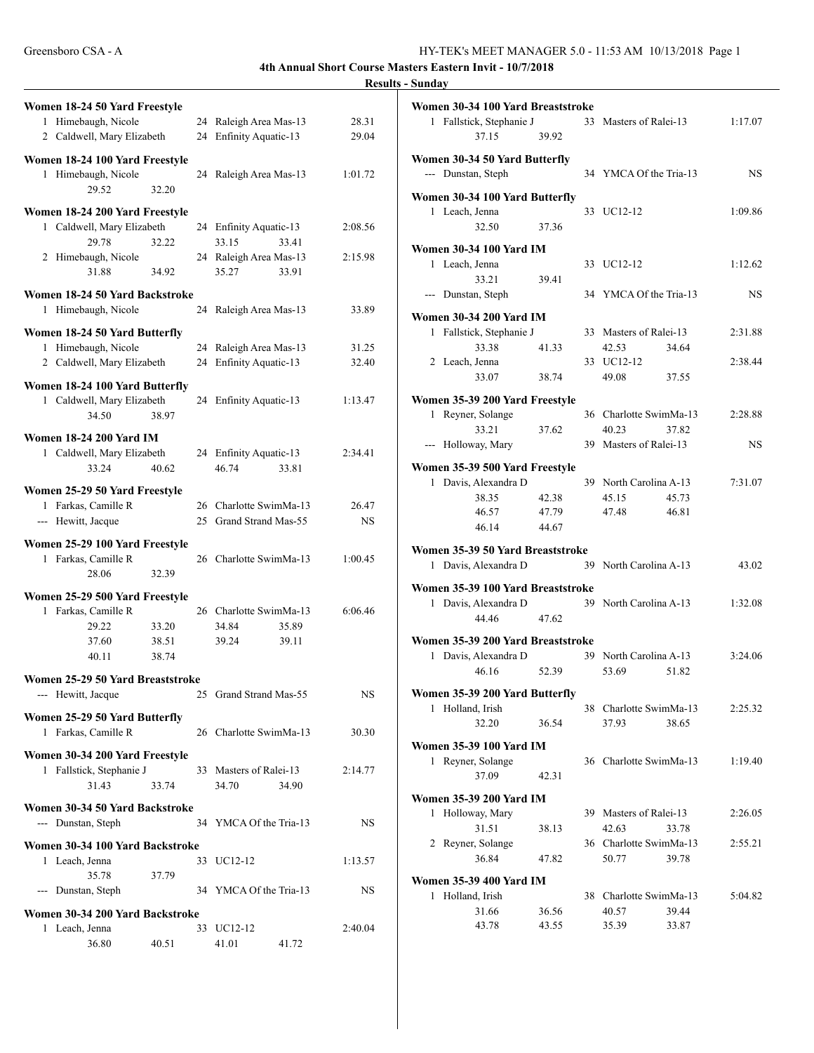| Women 18-24 50 Yard Freestyle                          |       |    |                                          |         |
|--------------------------------------------------------|-------|----|------------------------------------------|---------|
| Himebaugh, Nicole<br>1                                 |       |    | 24 Raleigh Area Mas-13                   | 28.31   |
| 2 Caldwell, Mary Elizabeth                             |       |    | 24 Enfinity Aquatic-13                   | 29.04   |
|                                                        |       |    |                                          |         |
| Women 18-24 100 Yard Freestyle<br>1 Himebaugh, Nicole  |       |    | 24 Raleigh Area Mas-13                   | 1:01.72 |
| 29.52                                                  | 32.20 |    |                                          |         |
| Women 18-24 200 Yard Freestyle                         |       |    |                                          |         |
| 1 Caldwell, Mary Elizabeth                             |       |    | 24 Enfinity Aquatic-13                   | 2:08.56 |
| 29.78                                                  | 32.22 |    | 33.15<br>33.41                           |         |
| 2 Himebaugh, Nicole                                    |       |    | 24 Raleigh Area Mas-13                   | 2:15.98 |
| 31.88                                                  | 34.92 |    | 35.27<br>33.91                           |         |
| Women 18-24 50 Yard Backstroke                         |       |    |                                          |         |
| Himebaugh, Nicole<br>1                                 |       | 24 | Raleigh Area Mas-13                      | 33.89   |
| Women 18-24 50 Yard Butterfly                          |       |    |                                          |         |
| 1 Himebaugh, Nicole                                    |       |    | 24 Raleigh Area Mas-13                   | 31.25   |
| 2 Caldwell, Mary Elizabeth                             |       | 24 | Enfinity Aquatic-13                      | 32.40   |
| Women 18-24 100 Yard Butterfly                         |       |    |                                          |         |
| 1 Caldwell, Mary Elizabeth                             |       |    | 24 Enfinity Aquatic-13                   | 1:13.47 |
| 34.50                                                  | 38.97 |    |                                          |         |
| <b>Women 18-24 200 Yard IM</b>                         |       |    |                                          |         |
| 1 Caldwell, Mary Elizabeth                             |       |    | 24 Enfinity Aquatic-13                   | 2:34.41 |
| 33.24                                                  | 40.62 |    | 46.74<br>33.81                           |         |
|                                                        |       |    |                                          |         |
| Women 25-29 50 Yard Freestyle<br>1 Farkas, Camille R   |       | 26 | Charlotte SwimMa-13                      | 26.47   |
| --- Hewitt, Jacque                                     |       |    | 25 Grand Strand Mas-55                   | NS      |
|                                                        |       |    |                                          |         |
| Women 25-29 100 Yard Freestyle                         |       |    |                                          |         |
| 1 Farkas, Camille R<br>28.06                           | 32.39 |    | 26 Charlotte SwimMa-13                   | 1:00.45 |
|                                                        |       |    |                                          |         |
| Women 25-29 500 Yard Freestyle                         |       |    |                                          |         |
| Farkas, Camille R<br>1<br>29.22                        | 33.20 |    | 26 Charlotte SwimMa-13<br>34.84<br>35.89 | 6:06.46 |
| 37.60                                                  | 38.51 |    | 39.24<br>39.11                           |         |
| 40.11                                                  | 38.74 |    |                                          |         |
|                                                        |       |    |                                          |         |
| Women 25-29 50 Yard Breaststroke<br>--- Hewitt, Jacque |       |    | 25 Grand Strand Mas-55                   | NS      |
|                                                        |       |    |                                          |         |
| Women 25-29 50 Yard Butterfly                          |       |    |                                          |         |
| Farkas, Camille R<br>1                                 |       |    | 26 Charlotte SwimMa-13                   | 30.30   |
| Women 30-34 200 Yard Freestyle                         |       |    |                                          |         |
| 1 Fallstick, Stephanie J                               |       |    | 33 Masters of Ralei-13                   | 2:14.77 |
| 31.43                                                  | 33.74 |    | 34.70<br>34.90                           |         |
| Women 30-34 50 Yard Backstroke                         |       |    |                                          |         |
| --- Dunstan, Steph                                     |       | 34 | YMCA Of the Tria-13                      | NS      |
| Women 30-34 100 Yard Backstroke                        |       |    |                                          |         |
| Leach, Jenna<br>1                                      |       | 33 | UC12-12                                  | 1:13.57 |
| 35.78                                                  | 37.79 |    |                                          |         |
| --- Dunstan, Steph                                     |       | 34 | YMCA Of the Tria-13                      | NS      |
| Women 30-34 200 Yard Backstroke                        |       |    |                                          |         |
| Leach, Jenna<br>1                                      |       |    | 33 UC12-12                               | 2:40.04 |
| 36.80                                                  | 40.51 |    | 41.01<br>41.72                           |         |

| Women 30-34 100 Yard Breaststroke<br>1 Fallstick, Stephanie J |       |    | 33 Masters of Ralei-13 |       | 1:17.07   |
|---------------------------------------------------------------|-------|----|------------------------|-------|-----------|
| 37.15                                                         | 39.92 |    |                        |       |           |
| Women 30-34 50 Yard Butterfly                                 |       |    |                        |       |           |
| --- Dunstan, Steph                                            |       |    | 34 YMCA Of the Tria-13 |       | NS.       |
| Women 30-34 100 Yard Butterfly                                |       |    |                        |       |           |
| 1 Leach, Jenna                                                |       |    | 33 UC12-12             |       | 1:09.86   |
| 32.50                                                         | 37.36 |    |                        |       |           |
| <b>Women 30-34 100 Yard IM</b>                                |       |    |                        |       |           |
| 1 Leach, Jenna                                                |       |    | 33 UC12-12             |       | 1:12.62   |
| 33.21                                                         | 39.41 |    |                        |       |           |
| --- Dunstan, Steph                                            |       |    | 34 YMCA Of the Tria-13 |       | NS.       |
| <b>Women 30-34 200 Yard IM</b>                                |       |    |                        |       |           |
| 1 Fallstick, Stephanie J                                      |       |    | 33 Masters of Ralei-13 |       | 2:31.88   |
| 33.38                                                         | 41.33 |    | 42.53                  | 34.64 |           |
| 2 Leach, Jenna                                                |       |    | 33 UC12-12             |       | 2:38.44   |
| 33.07                                                         | 38.74 |    | 49.08                  | 37.55 |           |
| Women 35-39 200 Yard Freestyle                                |       |    |                        |       |           |
| Reyner, Solange<br>1                                          |       |    | 36 Charlotte SwimMa-13 |       | 2:28.88   |
| 33.21                                                         | 37.62 |    | 40.23                  | 37.82 |           |
| --- Holloway, Mary                                            |       |    | 39 Masters of Ralei-13 |       | <b>NS</b> |
| Women 35-39 500 Yard Freestyle                                |       |    |                        |       |           |
| 1 Davis, Alexandra D                                          |       |    | 39 North Carolina A-13 |       | 7:31.07   |
| 38.35                                                         | 42.38 |    | 45.15                  | 45.73 |           |
| 46.57                                                         | 47.79 |    | 47.48                  | 46.81 |           |
| 46.14                                                         | 44.67 |    |                        |       |           |
| Women 35-39 50 Yard Breaststroke                              |       |    |                        |       |           |
| Davis, Alexandra D<br>1                                       |       |    | 39 North Carolina A-13 |       | 43.02     |
| Women 35-39 100 Yard Breaststroke                             |       |    |                        |       |           |
| 1 Davis, Alexandra D                                          |       |    | 39 North Carolina A-13 |       | 1:32.08   |
| 44.46                                                         | 47.62 |    |                        |       |           |
| Women 35-39 200 Yard Breaststroke                             |       |    |                        |       |           |
| 1 Davis, Alexandra D                                          |       |    | 39 North Carolina A-13 |       | 3:24.06   |
| 46.16                                                         | 52.39 |    | 53.69                  | 51.82 |           |
| Women 35-39 200 Yard Butterfly                                |       |    |                        |       |           |
| Holland, Irish<br>1                                           |       |    | 38 Charlotte SwimMa-13 |       | 2:25.32   |
| 32.20                                                         | 36.54 |    | 37.93                  | 38.65 |           |
| <b>Women 35-39 100 Yard IM</b>                                |       |    |                        |       |           |
| 1 Reyner, Solange                                             |       |    | 36 Charlotte SwimMa-13 |       | 1:19.40   |
| 37.09                                                         | 42.31 |    |                        |       |           |
| <b>Women 35-39 200 Yard IM</b>                                |       |    |                        |       |           |
| Holloway, Mary<br>1                                           |       |    | 39 Masters of Ralei-13 |       | 2:26.05   |
| 31.51                                                         | 38.13 |    | 42.63                  | 33.78 |           |
| 2 Reyner, Solange                                             |       |    | 36 Charlotte SwimMa-13 |       | 2:55.21   |
| 36.84                                                         | 47.82 |    | 50.77                  | 39.78 |           |
| <b>Women 35-39 400 Yard IM</b>                                |       |    |                        |       |           |
| Holland, Irish<br>1                                           |       | 38 | Charlotte SwimMa-13    |       | 5:04.82   |
| 31.66                                                         | 36.56 |    | 40.57                  | 39.44 |           |
| 43.78                                                         | 43.55 |    | 35.39                  | 33.87 |           |
|                                                               |       |    |                        |       |           |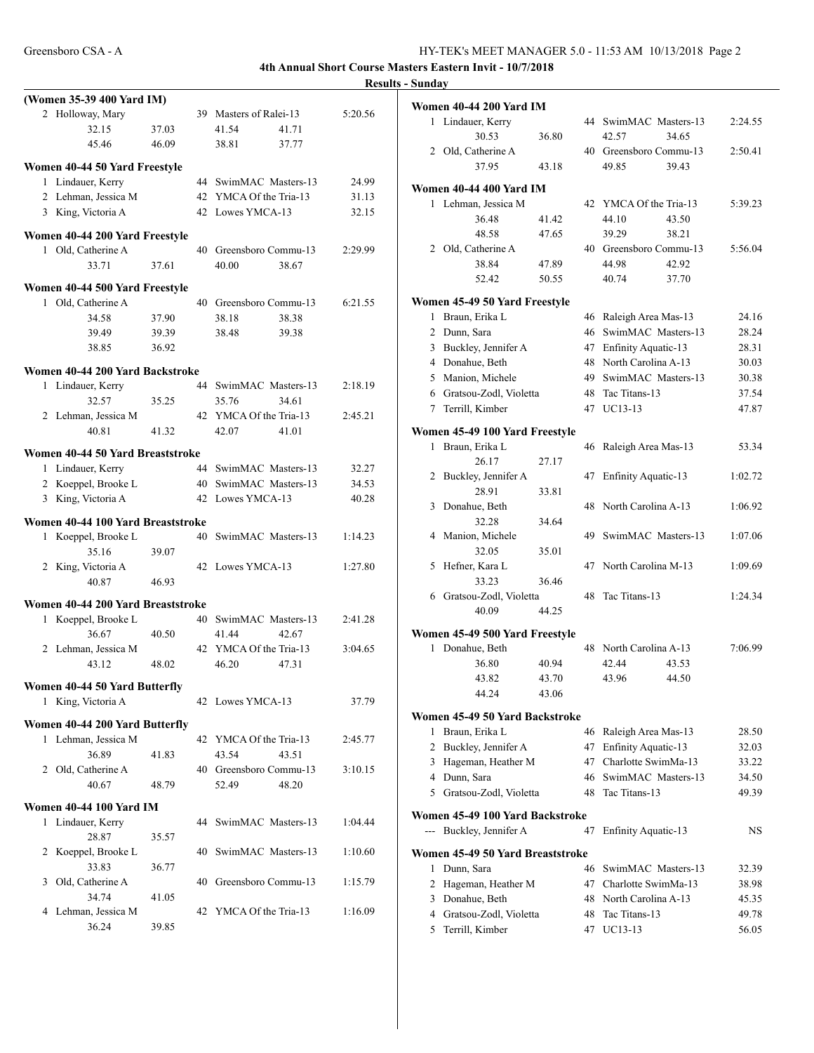|                | (Women 35-39 400 Yard IM)         |       |     |                                 |         |
|----------------|-----------------------------------|-------|-----|---------------------------------|---------|
|                | 2 Holloway, Mary                  |       |     | 39 Masters of Ralei-13          | 5:20.56 |
|                | 32.15                             | 37.03 |     | 41.54<br>41.71                  |         |
|                | 45.46                             | 46.09 |     | 37.77<br>38.81                  |         |
|                | Women 40-44 50 Yard Freestyle     |       |     |                                 |         |
|                | 1 Lindauer, Kerry                 |       |     | 44 SwimMAC Masters-13           | 24.99   |
|                | 2 Lehman, Jessica M               |       |     | 42 YMCA Of the Tria-13          | 31.13   |
|                | 3 King, Victoria A                |       |     | 42 Lowes YMCA-13                | 32.15   |
|                |                                   |       |     |                                 |         |
|                | Women 40-44 200 Yard Freestyle    |       |     |                                 |         |
|                | 1 Old, Catherine A                |       |     | 40 Greensboro Commu-13          | 2:29.99 |
|                | 33.71                             | 37.61 |     | 40.00<br>38.67                  |         |
|                | Women 40-44 500 Yard Freestyle    |       |     |                                 |         |
|                | 1 Old, Catherine A                |       | 40  | Greensboro Commu-13             | 6:21.55 |
|                | 34.58                             | 37.90 |     | 38.18<br>38.38                  |         |
|                | 39.49                             | 39.39 |     | 38.48<br>39.38                  |         |
|                | 38.85                             | 36.92 |     |                                 |         |
|                |                                   |       |     |                                 |         |
|                | Women 40-44 200 Yard Backstroke   |       |     |                                 |         |
|                | 1 Lindauer, Kerry                 |       |     | 44 SwimMAC Masters-13           | 2:18.19 |
|                | 32.57                             | 35.25 |     | 35.76<br>34.61                  |         |
|                | 2 Lehman, Jessica M               |       |     | 42 YMCA Of the Tria-13          | 2:45.21 |
|                | 40.81                             | 41.32 |     | 42.07<br>41.01                  |         |
|                | Women 40-44 50 Yard Breaststroke  |       |     |                                 |         |
|                | 1 Lindauer, Kerry                 |       |     | 44 SwimMAC Masters-13           | 32.27   |
|                | 2 Koeppel, Brooke L               |       |     | 40 SwimMAC Masters-13           | 34.53   |
|                | 3 King, Victoria A                |       |     | 42 Lowes YMCA-13                | 40.28   |
|                |                                   |       |     |                                 |         |
|                | Women 40-44 100 Yard Breaststroke |       |     |                                 |         |
|                | 1 Koeppel, Brooke L               |       |     | 40 SwimMAC Masters-13           | 1:14.23 |
|                | 35.16                             | 39.07 |     |                                 |         |
|                | 2 King, Victoria A                |       |     | 42 Lowes YMCA-13                | 1:27.80 |
|                | 40.87                             | 46.93 |     |                                 |         |
|                | Women 40-44 200 Yard Breaststroke |       |     |                                 |         |
|                | 1 Koeppel, Brooke L               |       |     | 40 SwimMAC Masters-13           | 2:41.28 |
|                |                                   |       |     | 41.44                           |         |
|                | 36.67                             | 40.50 |     | 42.67<br>42 YMCA Of the Tria-13 |         |
|                | 2 Lehman, Jessica M               |       |     |                                 | 3:04.65 |
|                | 43.12                             | 48.02 |     | 46.20<br>47.31                  |         |
|                | Women 40-44 50 Yard Butterfly     |       |     |                                 |         |
|                | 1 King, Victoria A                |       |     | 42 Lowes YMCA-13                | 37.79   |
|                | Women 40-44 200 Yard Butterfly    |       |     |                                 |         |
|                | 1 Lehman, Jessica M               |       | 42  | YMCA Of the Tria-13             | 2:45.77 |
|                | 36.89                             | 41.83 |     | 43.54<br>43.51                  |         |
|                | 2 Old, Catherine A                |       | 40. | Greensboro Commu-13             | 3:10.15 |
|                | 40.67                             | 48.79 |     | 52.49<br>48.20                  |         |
|                |                                   |       |     |                                 |         |
|                | Women 40-44 100 Yard IM           |       |     |                                 |         |
|                | 1 Lindauer, Kerry                 |       |     | 44 SwimMAC Masters-13           | 1:04.44 |
|                | 28.87                             | 35.57 |     |                                 |         |
| $\overline{2}$ | Koeppel, Brooke L                 |       |     | 40 SwimMAC Masters-13           | 1:10.60 |
|                | 33.83                             | 36.77 |     |                                 |         |
| 3              | Old, Catherine A                  |       |     | 40 Greensboro Commu-13          | 1:15.79 |
|                | 34.74                             | 41.05 |     |                                 |         |
|                | 4 Lehman, Jessica M               |       |     | 42 YMCA Of the Tria-13          | 1:16.09 |
|                | 36.24                             | 39.85 |     |                                 |         |
|                |                                   |       |     |                                 |         |

|                | Women 40-44 200 Yard IM          |       |    |                            |       |         |
|----------------|----------------------------------|-------|----|----------------------------|-------|---------|
| 1              | Lindauer, Kerry                  |       |    | 44 SwimMAC Masters-13      |       | 2:24.55 |
|                | 30.53                            | 36.80 |    | 42.57                      | 34.65 |         |
|                | 2 Old, Catherine A               |       |    | 40 Greensboro Commu-13     |       | 2:50.41 |
|                | 37.95                            | 43.18 |    | 49.85                      | 39.43 |         |
|                | Women 40-44 400 Yard IM          |       |    |                            |       |         |
|                | 1 Lehman, Jessica M              |       | 42 | YMCA Of the Tria-13        |       | 5:39.23 |
|                | 36.48                            | 41.42 |    | 44.10                      | 43.50 |         |
|                | 48.58                            | 47.65 |    | 39.29                      | 38.21 |         |
|                | 2 Old, Catherine A               |       |    | 40 Greensboro Commu-13     |       | 5:56.04 |
|                | 38.84                            | 47.89 |    | 44.98                      | 42.92 |         |
|                | 52.42                            | 50.55 |    | 40.74                      | 37.70 |         |
|                | Women 45-49 50 Yard Freestyle    |       |    |                            |       |         |
| $\mathbf{1}$   | Braun, Erika L                   |       |    | 46 Raleigh Area Mas-13     |       | 24.16   |
| $\overline{2}$ | Dunn, Sara                       |       | 46 | SwimMAC Masters-13         |       | 28.24   |
| 3              | Buckley, Jennifer A              |       | 47 | Enfinity Aquatic-13        |       | 28.31   |
|                | 4 Donahue, Beth                  |       | 48 | North Carolina A-13        |       | 30.03   |
|                | 5 Manion, Michele                |       | 49 | SwimMAC Masters-13         |       | 30.38   |
|                | 6 Gratsou-Zodl, Violetta         |       | 48 | Tac Titans-13              |       | 37.54   |
|                | 7 Terrill, Kimber                |       |    | 47 UC13-13                 |       | 47.87   |
|                | Women 45-49 100 Yard Freestyle   |       |    |                            |       |         |
| 1              | Braun, Erika L                   |       | 46 | Raleigh Area Mas-13        |       | 53.34   |
|                | 26.17                            | 27.17 |    |                            |       |         |
|                | 2 Buckley, Jennifer A            |       | 47 | <b>Enfinity Aquatic-13</b> |       | 1:02.72 |
|                | 28.91                            | 33.81 |    |                            |       |         |
| 3              | Donahue, Beth                    |       | 48 | North Carolina A-13        |       | 1:06.92 |
|                | 32.28                            | 34.64 |    |                            |       |         |
| 4              | Manion, Michele                  |       | 49 | SwimMAC Masters-13         |       | 1:07.06 |
|                | 32.05                            | 35.01 |    |                            |       |         |
| 5              | Hefner, Kara L                   |       | 47 | North Carolina M-13        |       | 1:09.69 |
|                | 33.23                            | 36.46 |    |                            |       |         |
|                | 6 Gratsou-Zodl, Violetta         |       | 48 | Tac Titans-13              |       | 1:24.34 |
|                | 40.09                            | 44.25 |    |                            |       |         |
|                | Women 45-49 500 Yard Freestyle   |       |    |                            |       |         |
| 1              | Donahue, Beth                    |       |    | 48 North Carolina A-13     |       | 7:06.99 |
|                | 36.80                            | 40.94 |    | 42.44                      | 43.53 |         |
|                | 43.82                            | 43.70 |    | 43.96                      | 44.50 |         |
|                | 44.24                            | 43.06 |    |                            |       |         |
|                | Women 45-49 50 Yard Backstroke   |       |    |                            |       |         |
| 1              | Braun, Erika L                   |       |    | 46 Raleigh Area Mas-13     |       | 28.50   |
| 2              | Buckley, Jennifer A              |       | 47 | <b>Enfinity Aquatic-13</b> |       | 32.03   |
| 3              | Hageman, Heather M               |       |    | 47 Charlotte SwimMa-13     |       | 33.22   |
|                | 4 Dunn, Sara                     |       |    | 46 SwimMAC Masters-13      |       | 34.50   |
|                | 5 Gratsou-Zodl, Violetta         |       | 48 | Tac Titans-13              |       | 49.39   |
|                | Women 45-49 100 Yard Backstroke  |       |    |                            |       |         |
| $-$            | Buckley, Jennifer A              |       | 47 | <b>Enfinity Aquatic-13</b> |       | NS      |
|                | Women 45-49 50 Yard Breaststroke |       |    |                            |       |         |
| $\mathbf{1}$   | Dunn, Sara                       |       |    | 46 SwimMAC Masters-13      |       | 32.39   |
|                | 2 Hageman, Heather M             |       |    | 47 Charlotte SwimMa-13     |       | 38.98   |
|                | 3 Donahue, Beth                  |       |    | 48 North Carolina A-13     |       | 45.35   |
|                | 4 Gratsou-Zodl, Violetta         |       | 48 | Tac Titans-13              |       | 49.78   |
|                | 5 Terrill, Kimber                |       |    | 47 UC13-13                 |       | 56.05   |
|                |                                  |       |    |                            |       |         |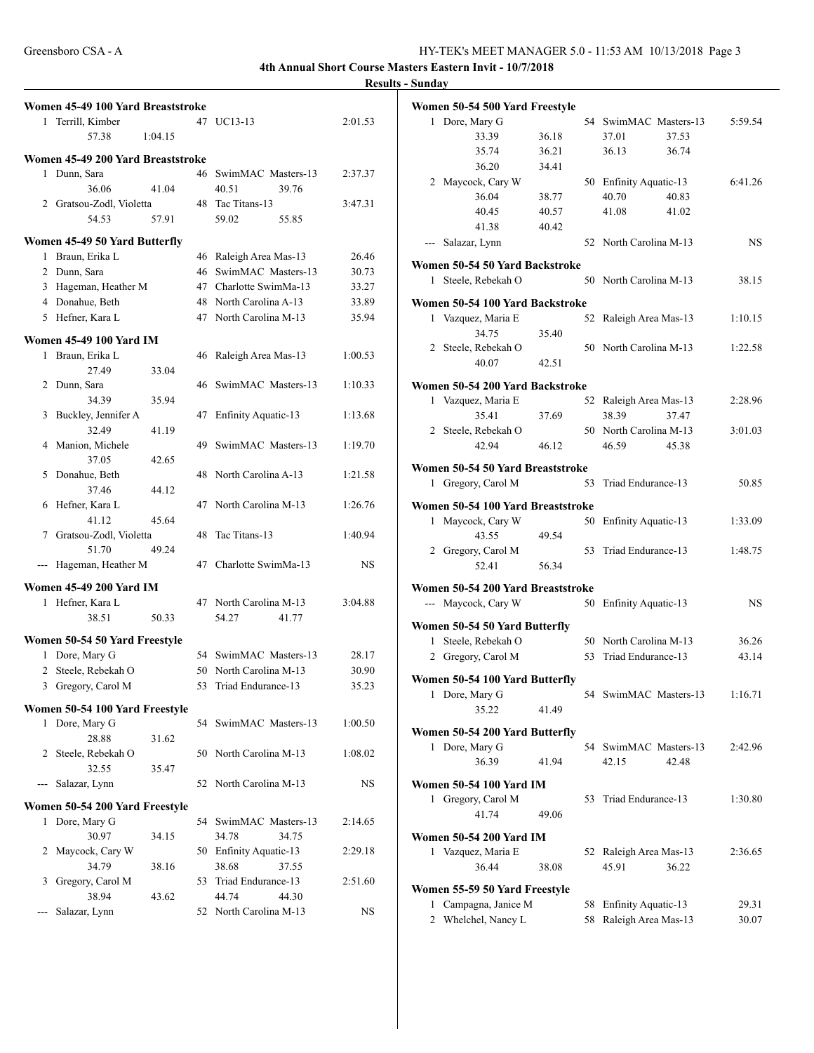| $\mathbf{1}$ | Women 45-49 100 Yard Breaststroke<br>Terrill, Kimber |         |    | 47 UC13-13                 | 2:01.53   |
|--------------|------------------------------------------------------|---------|----|----------------------------|-----------|
|              | 57.38                                                | 1:04.15 |    |                            |           |
|              |                                                      |         |    |                            |           |
|              | Women 45-49 200 Yard Breaststroke                    |         |    |                            |           |
|              | 1 Dunn, Sara                                         |         |    | 46 SwimMAC Masters-13      | 2:37.37   |
|              | 36.06                                                | 41.04   |    | 40.51<br>39.76             |           |
|              | 2 Gratsou-Zodl, Violetta                             |         |    | 48 Tac Titans-13           | 3:47.31   |
|              | 54.53                                                | 57.91   |    | 59.02<br>55.85             |           |
|              | Women 45-49 50 Yard Butterfly                        |         |    |                            |           |
|              | 1 Braun, Erika L                                     |         |    | 46 Raleigh Area Mas-13     | 26.46     |
|              | 2 Dunn, Sara                                         |         | 46 | SwimMAC Masters-13         | 30.73     |
|              | 3 Hageman, Heather M                                 |         |    | 47 Charlotte SwimMa-13     | 33.27     |
|              | 4 Donahue, Beth                                      |         |    | 48 North Carolina A-13     | 33.89     |
|              | 5 Hefner, Kara L                                     |         |    | 47 North Carolina M-13     | 35.94     |
|              | <b>Women 45-49 100 Yard IM</b>                       |         |    |                            |           |
|              | 1 Braun, Erika L                                     |         | 46 | Raleigh Area Mas-13        | 1:00.53   |
|              | 27.49                                                | 33.04   |    |                            |           |
|              | 2 Dunn, Sara                                         |         |    | 46 SwimMAC Masters-13      | 1:10.33   |
|              | 34.39                                                | 35.94   |    |                            |           |
|              | 3 Buckley, Jennifer A                                |         | 47 | <b>Enfinity Aquatic-13</b> | 1:13.68   |
|              | 32.49                                                | 41.19   |    |                            |           |
|              | 4 Manion, Michele                                    |         | 49 | SwimMAC Masters-13         | 1:19.70   |
|              | 37.05                                                | 42.65   |    |                            |           |
|              | 5 Donahue, Beth                                      |         |    | 48 North Carolina A-13     | 1:21.58   |
|              | 37.46                                                | 44.12   |    |                            |           |
|              | 6 Hefner, Kara L                                     |         | 47 | North Carolina M-13        | 1:26.76   |
|              | 41.12                                                | 45.64   |    |                            |           |
| 7            | Gratsou-Zodl, Violetta                               |         | 48 | Tac Titans-13              | 1:40.94   |
|              | 51.70                                                | 49.24   |    |                            |           |
|              | --- Hageman, Heather M                               |         | 47 | Charlotte SwimMa-13        | <b>NS</b> |
|              |                                                      |         |    |                            |           |
|              | <b>Women 45-49 200 Yard IM</b>                       |         |    |                            |           |
|              | 1 Hefner, Kara L                                     |         |    | 47 North Carolina M-13     | 3:04.88   |
|              | 38.51                                                | 50.33   |    | 54.27<br>41.77             |           |
|              | Women 50-54 50 Yard Freestyle                        |         |    |                            |           |
|              | 1 Dore, Mary G                                       |         |    | 54 SwimMAC Masters-13      | 28.17     |
| 2            | Steele, Rebekah O                                    |         |    | 50 North Carolina M-13     | 30.90     |
|              | 3 Gregory, Carol M                                   |         |    | 53 Triad Endurance-13      | 35.23     |
|              | Women 50-54 100 Yard Freestyle                       |         |    |                            |           |
|              | 1 Dore, Mary G                                       |         |    | 54 SwimMAC Masters-13      | 1:00.50   |
|              | 28.88                                                | 31.62   |    |                            |           |
| 2            | Steele, Rebekah O                                    |         |    | 50 North Carolina M-13     | 1:08.02   |
|              | 32.55                                                | 35.47   |    |                            |           |
| ---          | Salazar, Lynn                                        |         |    | 52 North Carolina M-13     | NS        |
|              |                                                      |         |    |                            |           |
|              | Women 50-54 200 Yard Freestyle                       |         |    |                            |           |
|              | 1 Dore, Mary G                                       |         | 54 | SwimMAC Masters-13         | 2:14.65   |
|              | 30.97                                                | 34.15   |    | 34.78<br>34.75             |           |
| 2            | Maycock, Cary W                                      |         | 50 | <b>Enfinity Aquatic-13</b> | 2:29.18   |
|              | 34.79                                                | 38.16   |    | 38.68<br>37.55             |           |
| 3            | Gregory, Carol M                                     |         |    | 53 Triad Endurance-13      | 2:51.60   |
|              | 38.94                                                | 43.62   |    | 44.74<br>44.30             |           |
|              | Salazar, Lynn                                        |         |    | 52 North Carolina M-13     | NS        |
|              |                                                      |         |    |                            |           |

|              | Women 50-54 500 Yard Freestyle    |       |    |                            |         |
|--------------|-----------------------------------|-------|----|----------------------------|---------|
| 1            | Dore, Mary G                      |       |    | 54 SwimMAC Masters-13      | 5:59.54 |
|              | 33.39                             | 36.18 |    | 37.01<br>37.53             |         |
|              | 35.74                             | 36.21 |    | 36.13<br>36.74             |         |
|              | 36.20                             | 34.41 |    |                            |         |
|              | 2 Maycock, Cary W                 |       |    | 50 Enfinity Aquatic-13     | 6:41.26 |
|              | 36.04                             | 38.77 |    | 40.70<br>40.83             |         |
|              | 40.45                             | 40.57 |    | 41.08<br>41.02             |         |
|              | 41.38                             | 40.42 |    |                            |         |
| $---$        | Salazar, Lynn                     |       |    | 52 North Carolina M-13     | NS      |
|              |                                   |       |    |                            |         |
|              | Women 50-54 50 Yard Backstroke    |       |    |                            |         |
| 1            | Steele, Rebekah O                 |       |    | 50 North Carolina M-13     | 38.15   |
|              | Women 50-54 100 Yard Backstroke   |       |    |                            |         |
|              |                                   |       |    |                            |         |
|              | 1 Vazquez, Maria E                |       | 52 | Raleigh Area Mas-13        | 1:10.15 |
|              | 34.75                             | 35.40 |    |                            |         |
|              | 2 Steele, Rebekah O               |       |    | 50 North Carolina M-13     | 1:22.58 |
|              | 40.07                             | 42.51 |    |                            |         |
|              | Women 50-54 200 Yard Backstroke   |       |    |                            |         |
|              | 1 Vazquez, Maria E                |       | 52 | Raleigh Area Mas-13        | 2:28.96 |
|              | 35.41                             | 37.69 |    | 38.39<br>37.47             |         |
|              | 2 Steele, Rebekah O               |       |    | 50 North Carolina M-13     | 3:01.03 |
|              | 42.94                             | 46.12 |    | 46.59<br>45.38             |         |
|              |                                   |       |    |                            |         |
|              | Women 50-54 50 Yard Breaststroke  |       |    |                            |         |
|              | 1 Gregory, Carol M                |       | 53 | Triad Endurance-13         | 50.85   |
|              | Women 50-54 100 Yard Breaststroke |       |    |                            |         |
| 1            | Maycock, Cary W                   |       | 50 | <b>Enfinity Aquatic-13</b> | 1:33.09 |
|              | 43.55                             |       |    |                            |         |
|              |                                   | 49.54 |    |                            |         |
|              | 2 Gregory, Carol M                |       | 53 | Triad Endurance-13         | 1:48.75 |
|              | 52.41                             | 56.34 |    |                            |         |
|              | Women 50-54 200 Yard Breaststroke |       |    |                            |         |
|              | --- Maycock, Cary W               |       |    | 50 Enfinity Aquatic-13     | NS      |
|              |                                   |       |    |                            |         |
|              | Women 50-54 50 Yard Butterfly     |       |    |                            |         |
| 1            | Steele, Rebekah O                 |       |    | 50 North Carolina M-13     | 36.26   |
|              | 2 Gregory, Carol M                |       | 53 | Triad Endurance-13         | 43.14   |
|              | Women 50-54 100 Yard Butterfly    |       |    |                            |         |
| $\mathbf{1}$ | Dore, Mary G                      |       |    | 54 SwimMAC Masters-13      | 1:16.71 |
|              | 35.22                             | 41.49 |    |                            |         |
|              |                                   |       |    |                            |         |
|              | Women 50-54 200 Yard Butterfly    |       |    |                            |         |
|              | 1 Dore, Mary G                    |       |    | 54 SwimMAC Masters-13      | 2:42.96 |
|              | 36.39                             | 41.94 |    | 42.15<br>42.48             |         |
|              | <b>Women 50-54 100 Yard IM</b>    |       |    |                            |         |
| 1            |                                   |       | 53 | Triad Endurance-13         |         |
|              | Gregory, Carol M                  |       |    |                            | 1:30.80 |
|              | 41.74                             | 49.06 |    |                            |         |
|              | <b>Women 50-54 200 Yard IM</b>    |       |    |                            |         |
|              | 1 Vazquez, Maria E                |       |    | 52 Raleigh Area Mas-13     | 2:36.65 |
|              | 36.44                             | 38.08 |    | 36.22<br>45.91             |         |
|              |                                   |       |    |                            |         |
|              | Women 55-59 50 Yard Freestyle     |       |    |                            |         |
| 1            | Campagna, Janice M                |       | 58 | <b>Enfinity Aquatic-13</b> | 29.31   |
|              | 2 Whelchel, Nancy L               |       | 58 | Raleigh Area Mas-13        | 30.07   |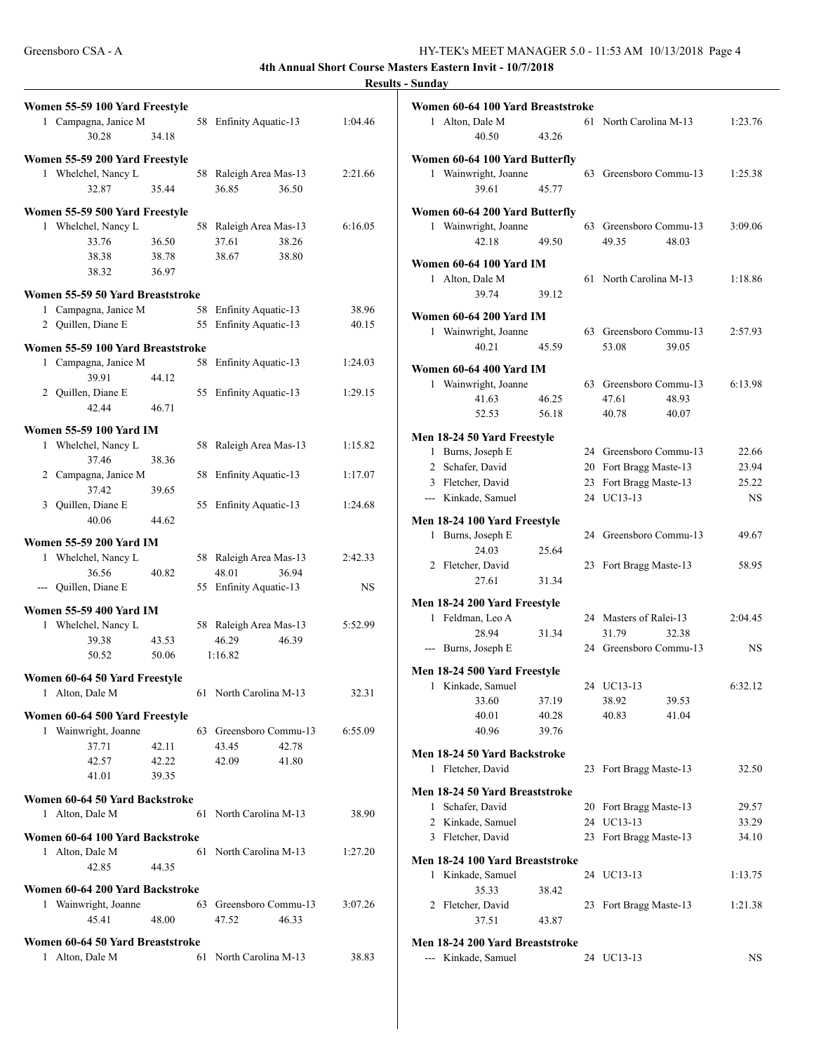| Women 55-59 100 Yard Freestyle    |       |    |                                          |         |
|-----------------------------------|-------|----|------------------------------------------|---------|
| 1 Campagna, Janice M<br>30.28     | 34.18 |    | 58 Enfinity Aquatic-13                   | 1:04.46 |
| Women 55-59 200 Yard Freestyle    |       |    |                                          |         |
| 1 Whelchel, Nancy L<br>32.87      | 35.44 |    | 58 Raleigh Area Mas-13<br>36.85<br>36.50 | 2:21.66 |
| Women 55-59 500 Yard Freestyle    |       |    |                                          |         |
| 1 Whelchel, Nancy L               |       |    | 58 Raleigh Area Mas-13                   | 6:16.05 |
| 33.76                             | 36.50 |    | 37.61<br>38.26                           |         |
| 38.38                             | 38.78 |    | 38.67<br>38.80                           |         |
| 38.32                             | 36.97 |    |                                          |         |
| Women 55-59 50 Yard Breaststroke  |       |    |                                          |         |
| 1 Campagna, Janice M              |       | 58 | Enfinity Aquatic-13                      | 38.96   |
| 2 Quillen, Diane E                |       | 55 | Enfinity Aquatic-13                      | 40.15   |
| Women 55-59 100 Yard Breaststroke |       |    |                                          |         |
| 1 Campagna, Janice M              |       | 58 | Enfinity Aquatic-13                      | 1:24.03 |
| 39.91                             | 44.12 |    |                                          |         |
| 2 Quillen, Diane E                |       | 55 | <b>Enfinity Aquatic-13</b>               | 1:29.15 |
| 42.44                             | 46.71 |    |                                          |         |
| Women 55-59 100 Yard IM           |       |    |                                          |         |
| 1 Whelchel, Nancy L               |       |    | 58 Raleigh Area Mas-13                   | 1:15.82 |
| 37.46                             | 38.36 |    |                                          |         |
| 2 Campagna, Janice M              |       | 58 | Enfinity Aquatic-13                      | 1:17.07 |
| 37.42                             | 39.65 |    |                                          |         |
| 3 Quillen, Diane E                |       |    | 55 Enfinity Aquatic-13                   | 1:24.68 |
| 40.06                             | 44.62 |    |                                          |         |
| Women 55-59 200 Yard IM           |       |    |                                          |         |
| 1 Whelchel, Nancy L               |       |    | 58 Raleigh Area Mas-13                   | 2:42.33 |
| 36.56                             | 40.82 |    | 48.01<br>36.94                           |         |
| --- Quillen, Diane E              |       |    | 55 Enfinity Aquatic-13                   | NS      |
| <b>Women 55-59 400 Yard IM</b>    |       |    |                                          |         |
| 1 Whelchel, Nancy L               |       |    | 58 Raleigh Area Mas-13                   | 5:52.99 |
| 39.38                             | 43.53 |    | 46.29<br>46.39                           |         |
| 50.52                             | 50.06 |    | 1:16.82                                  |         |
| Women 60-64 50 Yard Freestyle     |       |    |                                          |         |
| 1 Alton, Dale M                   |       |    | 61 North Carolina M-13                   | 32.31   |
| Women 60-64 500 Yard Freestyle    |       |    |                                          |         |
| 1 Wainwright, Joanne              |       | 63 | Greensboro Commu-13                      | 6:55.09 |
| 37.71                             | 42.11 |    | 43.45<br>42.78                           |         |
| 42.57                             | 42.22 |    | 42.09<br>41.80                           |         |
| 41.01                             | 39.35 |    |                                          |         |
| Women 60-64 50 Yard Backstroke    |       |    |                                          |         |
| 1 Alton, Dale M                   |       |    | 61 North Carolina M-13                   | 38.90   |
| Women 60-64 100 Yard Backstroke   |       |    |                                          |         |
| 1 Alton, Dale M                   |       |    | 61 North Carolina M-13                   | 1:27.20 |
| 42.85                             | 44.35 |    |                                          |         |
| Women 60-64 200 Yard Backstroke   |       |    |                                          |         |
| Wainwright, Joanne<br>1.          |       | 63 | Greensboro Commu-13                      | 3:07.26 |
| 45.41                             | 48.00 |    | 47.52<br>46.33                           |         |
| Women 60-64 50 Yard Breaststroke  |       |    |                                          |         |
| 1 Alton, Dale M                   |       | 61 | North Carolina M-13                      | 38.83   |
|                                   |       |    |                                          |         |

| Women 60-64 100 Yard Breaststroke<br>1<br>Alton, Dale M<br>40.50<br>43.26                                        | 61             | North Carolina M-13                                                             | 1:23.76                              |
|------------------------------------------------------------------------------------------------------------------|----------------|---------------------------------------------------------------------------------|--------------------------------------|
| Women 60-64 100 Yard Butterfly<br>1 Wainwright, Joanne<br>39.61<br>45.77                                         | 63             | Greensboro Commu-13                                                             | 1:25.38                              |
| Women 60-64 200 Yard Butterfly<br>1 Wainwright, Joanne<br>42.18<br>49.50                                         | 63             | Greensboro Commu-13<br>49.35<br>48.03                                           | 3:09.06                              |
| Women 60-64 100 Yard IM<br>Alton, Dale M<br>$\mathbf{1}$<br>39.74<br>39.12                                       | 61             | North Carolina M-13                                                             | 1:18.86                              |
| Women 60-64 200 Yard IM<br>1 Wainwright, Joanne<br>40.21<br>45.59                                                |                | 63 Greensboro Commu-13<br>53.08<br>39.05                                        | 2:57.93                              |
| Women 60-64 400 Yard IM<br>1 Wainwright, Joanne<br>46.25<br>41.63<br>56.18<br>52.53                              | 63             | Greensboro Commu-13<br>47.61<br>48.93<br>40.78<br>40.07                         | 6:13.98                              |
| Men 18-24 50 Yard Freestyle<br>1 Burns, Joseph E<br>2 Schafer, David<br>3 Fletcher, David<br>--- Kinkade, Samuel | 20<br>23<br>24 | 24 Greensboro Commu-13<br>Fort Bragg Maste-13<br>Fort Bragg Maste-13<br>UC13-13 | 22.66<br>23.94<br>25.22<br><b>NS</b> |
| Men 18-24 100 Yard Freestyle<br>Burns, Joseph E<br>1<br>24.03<br>25.64<br>2 Fletcher, David<br>27.61<br>31.34    | 24<br>23       | Greensboro Commu-13<br>Fort Bragg Maste-13                                      | 49.67<br>58.95                       |
| Men 18-24 200 Yard Freestyle<br>1 Feldman, Leo A<br>28.94<br>31.34<br>--- Burns, Joseph E                        |                | 24 Masters of Ralei-13<br>31.79<br>32.38<br>24 Greensboro Commu-13              | 2:04.45<br>NS.                       |
| Men 18-24 500 Yard Freestyle<br>1 Kinkade, Samuel<br>33.60<br>37.19<br>40.01<br>40.28<br>40.96<br>39.76          |                | 24 UC13-13<br>39.53<br>38.92<br>40.83<br>41.04                                  | 6:32.12                              |
| Men 18-24 50 Yard Backstroke<br>Fletcher, David<br>1                                                             | 23             | Fort Bragg Maste-13                                                             | 32.50                                |
| Men 18-24 50 Yard Breaststroke<br>Schafer, David<br>1<br>2 Kinkade, Samuel<br>3 Fletcher, David                  | 20<br>24<br>23 | Fort Bragg Maste-13<br>UC13-13<br>Fort Bragg Maste-13                           | 29.57<br>33.29<br>34.10              |
| Men 18-24 100 Yard Breaststroke<br>1 Kinkade, Samuel<br>35.33<br>38.42<br>2 Fletcher, David<br>37.51<br>43.87    | 24<br>23       | UC13-13<br>Fort Bragg Maste-13                                                  | 1:13.75<br>1:21.38                   |
| Men 18-24 200 Yard Breaststroke<br>--- Kinkade, Samuel                                                           |                | 24 UC13-13                                                                      | NS.                                  |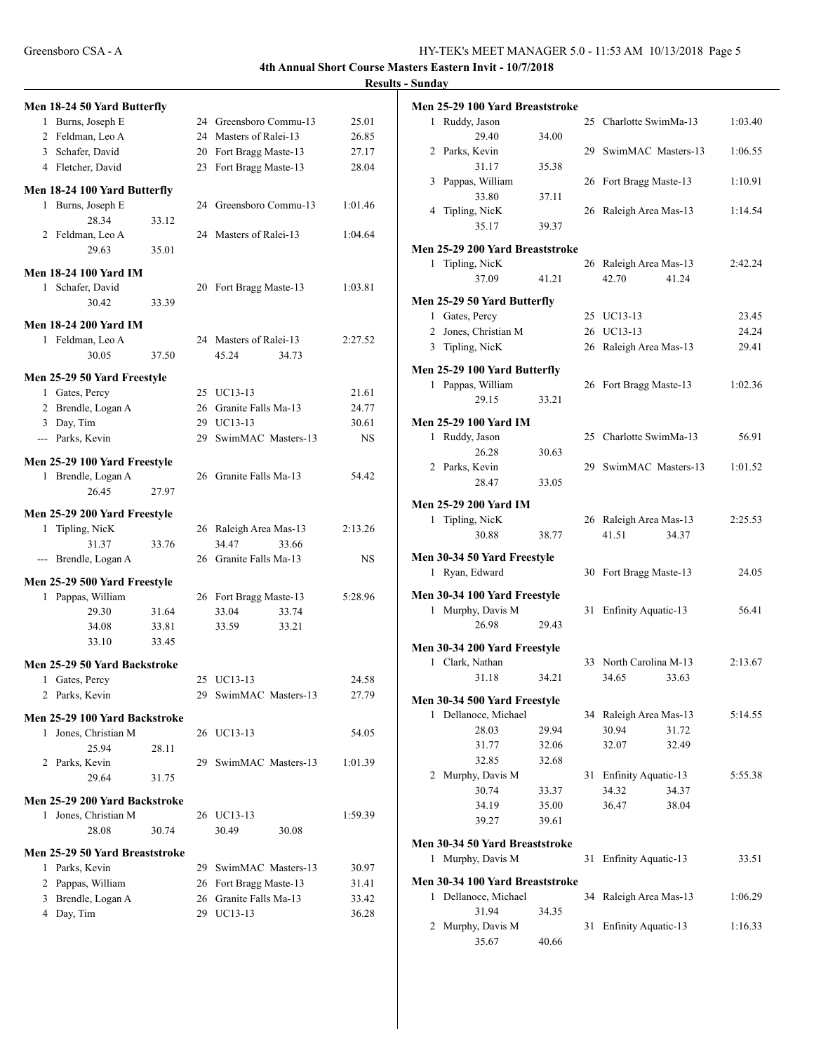|   |                                |       |     |                        | resu    |
|---|--------------------------------|-------|-----|------------------------|---------|
|   | Men 18-24 50 Yard Butterfly    |       |     |                        |         |
|   | 1 Burns, Joseph E              |       |     | 24 Greensboro Commu-13 | 25.01   |
|   | 2 Feldman, Leo A               |       |     | 24 Masters of Ralei-13 | 26.85   |
|   | 3 Schafer, David               |       | 20  | Fort Bragg Maste-13    | 27.17   |
|   | 4 Fletcher, David              |       | 23  | Fort Bragg Maste-13    | 28.04   |
|   | Men 18-24 100 Yard Butterfly   |       |     |                        |         |
|   | 1 Burns, Joseph E              |       |     | 24 Greensboro Commu-13 | 1:01.46 |
|   | 28.34                          | 33.12 |     |                        |         |
|   | 2 Feldman, Leo A               |       |     | 24 Masters of Ralei-13 | 1:04.64 |
|   | 29.63                          | 35.01 |     |                        |         |
|   | Men 18-24 100 Yard IM          |       |     |                        |         |
|   | 1 Schafer, David               |       |     | 20 Fort Bragg Maste-13 | 1:03.81 |
|   | 30.42                          | 33.39 |     |                        |         |
|   | Men 18-24 200 Yard IM          |       |     |                        |         |
|   | 1 Feldman, Leo A               |       |     | 24 Masters of Ralei-13 | 2:27.52 |
|   | 30.05                          | 37.50 |     | 45.24<br>34.73         |         |
|   |                                |       |     |                        |         |
|   | Men 25-29 50 Yard Freestyle    |       |     |                        |         |
|   | 1 Gates, Percy                 |       |     | 25 UC13-13             | 21.61   |
|   | 2 Brendle, Logan A             |       |     | 26 Granite Falls Ma-13 | 24.77   |
|   | 3 Day, Tim                     |       |     | 29 UC13-13             | 30.61   |
|   | --- Parks, Kevin               |       | 29  | SwimMAC Masters-13     | NS      |
|   | Men 25-29 100 Yard Freestyle   |       |     |                        |         |
|   | 1 Brendle, Logan A             |       |     | 26 Granite Falls Ma-13 | 54.42   |
|   | 26.45                          | 27.97 |     |                        |         |
|   | Men 25-29 200 Yard Freestyle   |       |     |                        |         |
|   | 1 Tipling, NicK                |       |     | 26 Raleigh Area Mas-13 | 2:13.26 |
|   | 31.37                          | 33.76 |     | 34.47<br>33.66         |         |
|   | --- Brendle, Logan A           |       |     | 26 Granite Falls Ma-13 | NS      |
|   | Men 25-29 500 Yard Freestyle   |       |     |                        |         |
|   | 1 Pappas, William              |       |     | 26 Fort Bragg Maste-13 | 5:28.96 |
|   | 29.30                          | 31.64 |     | 33.04<br>33.74         |         |
|   | 34.08                          | 33.81 |     | 33.59<br>33.21         |         |
|   | 33.10                          | 33.45 |     |                        |         |
|   | Men 25-29 50 Yard Backstroke   |       |     |                        |         |
|   | 1 Gates, Percy                 |       |     | 25 UC13-13             | 24.58   |
|   | 2 Parks, Kevin                 |       |     | 29 SwimMAC Masters-13  | 27.79   |
|   |                                |       |     |                        |         |
|   | Men 25-29 100 Yard Backstroke  |       |     |                        |         |
| 1 | Jones, Christian M             |       |     | 26 UC13-13             | 54.05   |
|   | 25.94<br>2 Parks, Kevin        | 28.11 | 29. | SwimMAC Masters-13     | 1:01.39 |
|   | 29.64                          | 31.75 |     |                        |         |
|   |                                |       |     |                        |         |
|   | Men 25-29 200 Yard Backstroke  |       |     |                        |         |
|   | 1 Jones, Christian M           |       |     | 26 UC13-13             | 1:59.39 |
|   | 28.08                          | 30.74 |     | 30.49<br>30.08         |         |
|   | Men 25-29 50 Yard Breaststroke |       |     |                        |         |
|   | 1 Parks, Kevin                 |       | 29  | SwimMAC Masters-13     | 30.97   |
|   | 2 Pappas, William              |       | 26  | Fort Bragg Maste-13    | 31.41   |
|   | 3 Brendle, Logan A             |       | 26  | Granite Falls Ma-13    | 33.42   |
|   | 4 Day, Tim                     |       |     | 29 UC13-13             | 36.28   |
|   |                                |       |     |                        |         |

|              | Men 25-29 100 Yard Breaststroke |       |    |                            |         |
|--------------|---------------------------------|-------|----|----------------------------|---------|
|              | 1 Ruddy, Jason                  |       |    | 25 Charlotte SwimMa-13     | 1:03.40 |
|              | 29.40                           | 34.00 |    |                            |         |
|              | 2 Parks, Kevin                  |       |    | 29 SwimMAC Masters-13      | 1:06.55 |
|              | 31.17                           | 35.38 |    |                            |         |
| 3            | Pappas, William                 |       | 26 | Fort Bragg Maste-13        | 1:10.91 |
|              | 33.80                           | 37.11 |    |                            |         |
| 4            | Tipling, NicK                   |       | 26 | Raleigh Area Mas-13        | 1:14.54 |
|              | 35.17                           | 39.37 |    |                            |         |
|              | Men 25-29 200 Yard Breaststroke |       |    |                            |         |
| $\mathbf{1}$ | Tipling, NicK                   |       |    | 26 Raleigh Area Mas-13     | 2:42.24 |
|              | 37.09                           | 41.21 |    | 42.70<br>41.24             |         |
|              |                                 |       |    |                            |         |
|              | Men 25-29 50 Yard Butterfly     |       |    |                            |         |
|              | 1 Gates, Percy                  |       |    | 25 UC13-13                 | 23.45   |
|              | 2 Jones, Christian M            |       | 26 | UC13-13                    | 24.24   |
|              | 3 Tipling, NicK                 |       |    | 26 Raleigh Area Mas-13     | 29.41   |
|              | Men 25-29 100 Yard Butterfly    |       |    |                            |         |
|              | 1 Pappas, William               |       |    | 26 Fort Bragg Maste-13     | 1:02.36 |
|              | 29.15                           | 33.21 |    |                            |         |
|              |                                 |       |    |                            |         |
|              | Men 25-29 100 Yard IM           |       |    |                            |         |
|              | 1 Ruddy, Jason                  |       |    | 25 Charlotte SwimMa-13     | 56.91   |
|              | 26.28                           | 30.63 |    |                            |         |
|              | 2 Parks, Kevin                  |       |    | 29 SwimMAC Masters-13      | 1:01.52 |
|              | 28.47                           | 33.05 |    |                            |         |
|              | Men 25-29 200 Yard IM           |       |    |                            |         |
|              | 1 Tipling, NicK                 |       |    | 26 Raleigh Area Mas-13     | 2:25.53 |
|              | 30.88                           | 38.77 |    | 41.51<br>34.37             |         |
|              |                                 |       |    |                            |         |
|              | Men 30-34 50 Yard Freestyle     |       |    |                            |         |
|              | 1 Ryan, Edward                  |       | 30 | Fort Bragg Maste-13        | 24.05   |
|              | Men 30-34 100 Yard Freestyle    |       |    |                            |         |
|              | 1 Murphy, Davis M               |       | 31 | <b>Enfinity Aquatic-13</b> | 56.41   |
|              | 26.98                           | 29.43 |    |                            |         |
|              | Men 30-34 200 Yard Freestyle    |       |    |                            |         |
|              | 1 Clark, Nathan                 |       |    | 33 North Carolina M-13     | 2:13.67 |
|              | 31.18                           | 34.21 |    | 34.65<br>33.63             |         |
|              |                                 |       |    |                            |         |
|              | Men 30-34 500 Yard Freestyle    |       |    |                            |         |
| 1            | Dellanoce, Michael              |       |    | 34 Raleigh Area Mas-13     | 5:14.55 |
|              | 28.03                           | 29.94 |    | 30.94<br>31.72             |         |
|              | 31.77                           | 32.06 |    | 32.07<br>32.49             |         |
|              | 32.85                           | 32.68 |    |                            |         |
| 2            | Murphy, Davis M                 |       | 31 | Enfinity Aquatic-13        | 5:55.38 |
|              | 30.74                           | 33.37 |    | 34.32<br>34.37             |         |
|              | 34.19                           | 35.00 |    | 36.47<br>38.04             |         |
|              | 39.27                           | 39.61 |    |                            |         |
|              | Men 30-34 50 Yard Breaststroke  |       |    |                            |         |
| 1            | Murphy, Davis M                 |       | 31 | Enfinity Aquatic-13        | 33.51   |
|              |                                 |       |    |                            |         |
|              | Men 30-34 100 Yard Breaststroke |       |    |                            |         |
| 1            | Dellanoce, Michael              |       | 34 | Raleigh Area Mas-13        | 1:06.29 |
|              | 31.94                           | 34.35 |    |                            |         |
| 2            | Murphy, Davis M                 |       | 31 | <b>Enfinity Aquatic-13</b> | 1:16.33 |
|              | 35.67                           | 40.66 |    |                            |         |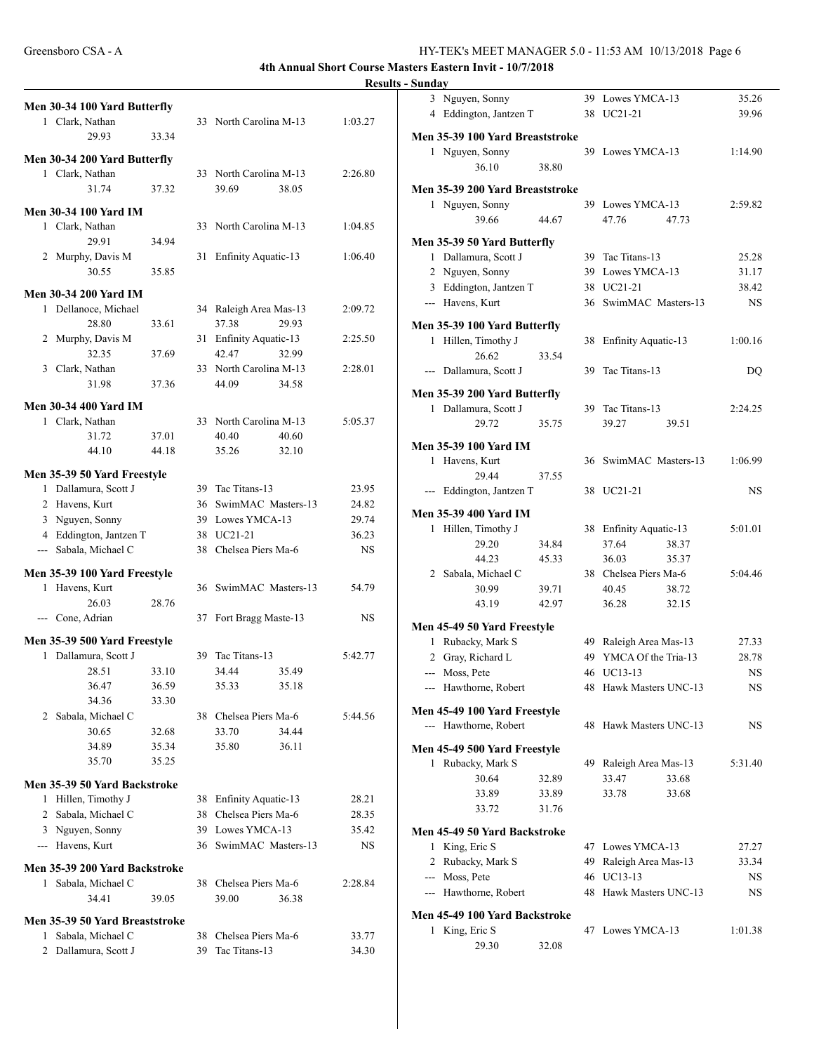|               | Men 30-34 100 Yard Butterfly<br>1 Clark, Nathan |                |    | 33 North Carolina M-13           | 1:03.27        |
|---------------|-------------------------------------------------|----------------|----|----------------------------------|----------------|
|               | 29.93                                           | 33.34          |    |                                  |                |
|               | Men 30-34 200 Yard Butterfly                    |                |    |                                  |                |
|               | 1 Clark, Nathan                                 |                |    | 33 North Carolina M-13           | 2:26.80        |
|               | 31.74                                           | 37.32          |    | 39.69<br>38.05                   |                |
|               | <b>Men 30-34 100 Yard IM</b>                    |                |    |                                  |                |
|               | 1 Clark, Nathan                                 |                |    | 33 North Carolina M-13           | 1:04.85        |
|               | 29.91                                           | 34.94          |    |                                  |                |
|               | 2 Murphy, Davis M                               |                | 31 | Enfinity Aquatic-13              | 1:06.40        |
|               | 30.55                                           | 35.85          |    |                                  |                |
|               | <b>Men 30-34 200 Yard IM</b>                    |                |    |                                  |                |
|               | 1 Dellanoce, Michael                            |                |    | 34 Raleigh Area Mas-13           | 2:09.72        |
|               | 28.80                                           | 33.61          |    | 37.38<br>29.93                   |                |
| 2             | Murphy, Davis M                                 |                |    | 31 Enfinity Aquatic-13           | 2:25.50        |
|               | 32.35                                           | 37.69          |    | 42.47<br>32.99                   |                |
|               | 3 Clark, Nathan                                 |                |    | 33 North Carolina M-13           | 2:28.01        |
|               | 31.98                                           | 37.36          |    | 34.58<br>44.09                   |                |
|               | <b>Men 30-34 400 Yard IM</b>                    |                |    |                                  |                |
|               | 1 Clark, Nathan                                 |                |    | 33 North Carolina M-13           | 5:05.37        |
|               | 31.72                                           | 37.01          |    | 40.40<br>40.60                   |                |
|               | 44.10                                           | 44.18          |    | 35.26<br>32.10                   |                |
|               | Men 35-39 50 Yard Freestyle                     |                |    |                                  |                |
|               | 1 Dallamura, Scott J                            |                |    | 39 Tac Titans-13                 | 23.95          |
|               | 2 Havens, Kurt                                  |                |    | 36 SwimMAC Masters-13            | 24.82          |
|               | 3 Nguyen, Sonny                                 |                |    | 39 Lowes YMCA-13                 | 29.74          |
|               | 4 Eddington, Jantzen T                          |                |    | 38 UC21-21                       | 36.23          |
| $\sim$ $\sim$ | Sabala, Michael C                               |                |    | 38 Chelsea Piers Ma-6            | <b>NS</b>      |
|               | Men 35-39 100 Yard Freestyle                    |                |    |                                  |                |
|               | 1 Havens, Kurt                                  |                |    | 36 SwimMAC Masters-13            | 54.79          |
|               | 26.03                                           | 28.76          |    |                                  |                |
|               | --- Cone, Adrian                                |                |    | 37 Fort Bragg Maste-13           | NS             |
|               | Men 35-39 500 Yard Freestyle                    |                |    |                                  |                |
|               | 1 Dallamura, Scott J                            |                |    | 39 Tac Titans-13                 | 5:42.77        |
|               | 28.51                                           | 33.10          |    | 34.44<br>35.49                   |                |
|               | 36.47                                           | 36.59          |    | 35.33<br>35.18                   |                |
|               | 34.36                                           | 33.30          |    |                                  |                |
| 2             | Sabala, Michael C                               |                |    | 38 Chelsea Piers Ma-6            | 5:44.56        |
|               | 30.65<br>34.89                                  | 32.68<br>35.34 |    | 34.44<br>33.70<br>35.80<br>36.11 |                |
|               | 35.70                                           | 35.25          |    |                                  |                |
|               |                                                 |                |    |                                  |                |
|               | Men 35-39 50 Yard Backstroke                    |                |    | 38 Enfinity Aquatic-13           |                |
| 1             | Hillen, Timothy J<br>2 Sabala, Michael C        |                |    | 38 Chelsea Piers Ma-6            | 28.21<br>28.35 |
|               | 3 Nguyen, Sonny                                 |                |    | 39 Lowes YMCA-13                 | 35.42          |
|               | --- Havens, Kurt                                |                |    | 36 SwimMAC Masters-13            | NS             |
|               |                                                 |                |    |                                  |                |
|               | Men 35-39 200 Yard Backstroke                   |                |    | 38 Chelsea Piers Ma-6            |                |
| 1             | Sabala, Michael C<br>34.41                      | 39.05          |    | 39.00<br>36.38                   | 2:28.84        |
|               |                                                 |                |    |                                  |                |
|               | Men 35-39 50 Yard Breaststroke                  |                |    |                                  |                |
| 1             | Sabala, Michael C                               |                | 38 | Chelsea Piers Ma-6               | 33.77          |
| 2             | Dallamura, Scott J                              |                | 39 | Tac Titans-13                    | 34.30          |

|   | 3 Nguyen, Sonny                 |       | 39 | Lowes YMCA-13          |       | 35.26     |
|---|---------------------------------|-------|----|------------------------|-------|-----------|
|   | 4 Eddington, Jantzen T          |       | 38 | UC21-21                |       | 39.96     |
|   |                                 |       |    |                        |       |           |
|   | Men 35-39 100 Yard Breaststroke |       |    |                        |       |           |
|   | 1 Nguyen, Sonny                 |       |    | 39 Lowes YMCA-13       |       | 1:14.90   |
|   | 36.10                           | 38.80 |    |                        |       |           |
|   | Men 35-39 200 Yard Breaststroke |       |    |                        |       |           |
|   |                                 |       |    |                        |       |           |
|   | 1 Nguyen, Sonny                 |       |    | 39 Lowes YMCA-13       |       | 2:59.82   |
|   | 39.66                           | 44.67 |    | 47.76                  | 47.73 |           |
|   | Men 35-39 50 Yard Butterfly     |       |    |                        |       |           |
|   | 1 Dallamura, Scott J            |       |    | 39 Tac Titans-13       |       | 25.28     |
|   | 2 Nguyen, Sonny                 |       | 39 | Lowes YMCA-13          |       | 31.17     |
|   | 3 Eddington, Jantzen T          |       |    | 38 UC21-21             |       | 38.42     |
|   |                                 |       |    |                        |       |           |
|   | --- Havens, Kurt                |       |    | 36 SwimMAC Masters-13  |       | NS.       |
|   | Men 35-39 100 Yard Butterfly    |       |    |                        |       |           |
|   | 1 Hillen, Timothy J             |       | 38 | Enfinity Aquatic-13    |       | 1:00.16   |
|   | 26.62                           | 33.54 |    |                        |       |           |
|   | --- Dallamura, Scott J          |       | 39 | Tac Titans-13          |       | DQ        |
|   |                                 |       |    |                        |       |           |
|   | Men 35-39 200 Yard Butterfly    |       |    |                        |       |           |
|   | 1 Dallamura, Scott J            |       |    | 39 Tac Titans-13       |       | 2:24.25   |
|   | 29.72                           | 35.75 |    | 39.27                  | 39.51 |           |
|   |                                 |       |    |                        |       |           |
|   | <b>Men 35-39 100 Yard IM</b>    |       |    |                        |       |           |
| 1 | Havens, Kurt                    |       |    | 36 SwimMAC Masters-13  |       | 1:06.99   |
|   | 29.44                           | 37.55 |    |                        |       |           |
|   | --- Eddington, Jantzen T        |       | 38 | UC21-21                |       | NS        |
|   |                                 |       |    |                        |       |           |
|   | Men 35-39 400 Yard IM           |       |    |                        |       |           |
|   | 1 Hillen, Timothy J             |       |    | 38 Enfinity Aquatic-13 |       | 5:01.01   |
|   | 29.20                           | 34.84 |    | 37.64                  | 38.37 |           |
|   | 44.23                           | 45.33 |    | 36.03                  | 35.37 |           |
|   | 2 Sabala, Michael C             |       |    | 38 Chelsea Piers Ma-6  |       | 5:04.46   |
|   | 30.99                           | 39.71 |    | 40.45                  | 38.72 |           |
|   | 43.19                           | 42.97 |    | 36.28                  | 32.15 |           |
|   |                                 |       |    |                        |       |           |
|   | Men 45-49 50 Yard Freestyle     |       |    |                        |       |           |
|   | 1 Rubacky, Mark S               |       |    | 49 Raleigh Area Mas-13 |       | 27.33     |
|   | 2 Gray, Richard L               |       |    | 49 YMCA Of the Tria-13 |       | 28.78     |
|   | --- Moss, Pete                  |       | 46 | UC13-13                |       | NS.       |
|   | --- Hawthorne, Robert           |       |    | 48 Hawk Masters UNC-13 |       | <b>NS</b> |
|   |                                 |       |    |                        |       |           |
|   | Men 45-49 100 Yard Freestyle    |       |    |                        |       |           |
|   | --- Hawthorne, Robert           |       |    | 48 Hawk Masters UNC-13 |       | NS.       |
|   | Men 45-49 500 Yard Freestyle    |       |    |                        |       |           |
|   |                                 |       |    | 49 Raleigh Area Mas-13 |       |           |
|   | 1 Rubacky, Mark S               |       |    |                        |       | 5:31.40   |
|   | 30.64                           | 32.89 |    | 33.47                  | 33.68 |           |
|   | 33.89                           | 33.89 |    | 33.78                  | 33.68 |           |
|   | 33.72                           | 31.76 |    |                        |       |           |
|   | Men 45-49 50 Yard Backstroke    |       |    |                        |       |           |
|   |                                 |       |    | 47 Lowes YMCA-13       |       |           |
|   | 1 King, Eric S                  |       |    |                        |       | 27.27     |
|   | 2 Rubacky, Mark S               |       | 49 | Raleigh Area Mas-13    |       | 33.34     |
|   | --- Moss, Pete                  |       | 46 | UC13-13                |       | NS.       |
|   | --- Hawthorne, Robert           |       | 48 | Hawk Masters UNC-13    |       | NS.       |
|   | Men 45-49 100 Yard Backstroke   |       |    |                        |       |           |
| 1 |                                 |       | 47 | Lowes YMCA-13          |       |           |
|   | King, Eric S                    |       |    |                        |       | 1:01.38   |
|   | 29.30                           | 32.08 |    |                        |       |           |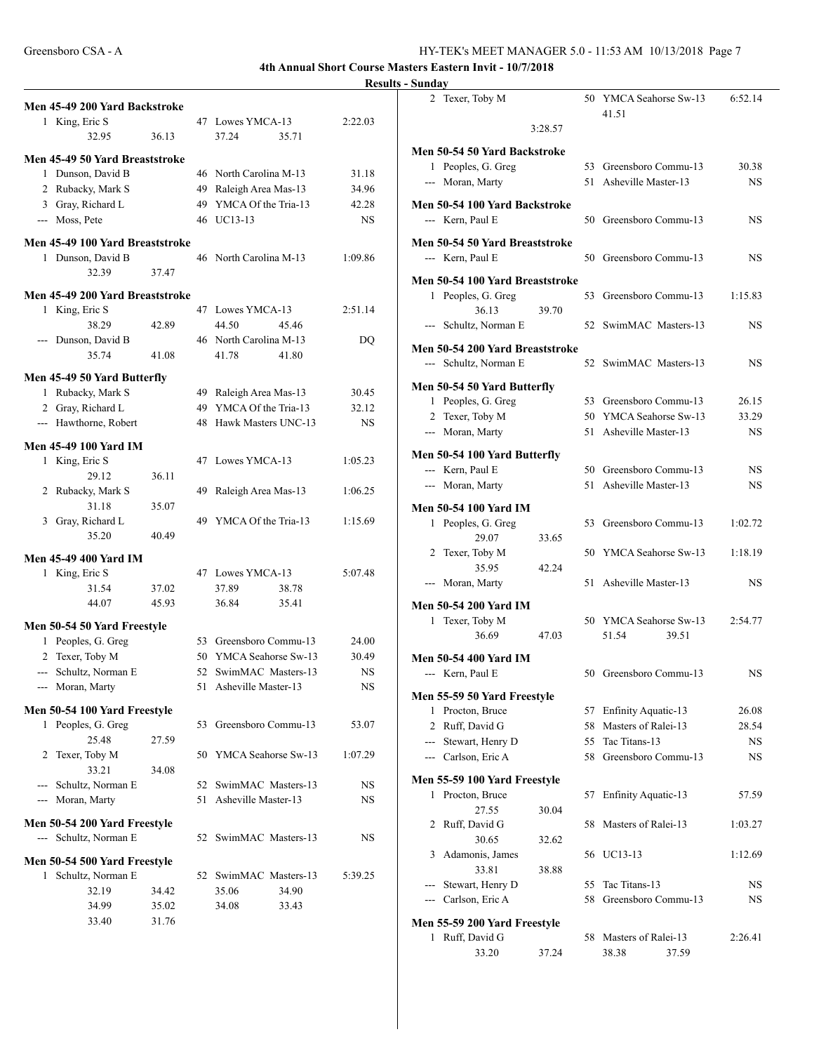| Men 45-49 200 Yard Backstroke             |    |                                                 |                        | 2                     |
|-------------------------------------------|----|-------------------------------------------------|------------------------|-----------------------|
| 1 King, Eric S<br>32.95<br>36.13          |    | 47 Lowes YMCA-13<br>37.24<br>35.71              | 2:22.03                |                       |
| Men 45-49 50 Yard Breaststroke            |    |                                                 |                        | Men 5                 |
| 1 Dunson, David B                         |    | 46 North Carolina M-13                          | 31.18                  | $\mathbf{1}$          |
| 2 Rubacky, Mark S                         |    | 49 Raleigh Area Mas-13                          | 34.96                  | ---                   |
| 3 Gray, Richard L                         |    | 49 YMCA Of the Tria-13                          | 42.28                  | Men 5                 |
| --- Moss, Pete                            |    | 46 UC13-13                                      | <b>NS</b>              | ---                   |
| Men 45-49 100 Yard Breaststroke           |    |                                                 |                        | Men 5                 |
| 1 Dunson, David B                         |    | 46 North Carolina M-13                          | 1:09.86                | ---                   |
| 32.39<br>37.47                            |    |                                                 |                        |                       |
| Men 45-49 200 Yard Breaststroke           |    |                                                 |                        | Men 5<br>$\mathbf{1}$ |
| 1 King, Eric S                            |    | 47 Lowes YMCA-13                                | 2:51.14                |                       |
| 38.29<br>42.89                            |    | 44.50<br>45.46                                  |                        |                       |
| --- Dunson, David B                       |    | 46 North Carolina M-13                          | DQ                     |                       |
| 35.74<br>41.08                            |    | 41.78<br>41.80                                  |                        | Men 5                 |
| Men 45-49 50 Yard Butterfly               |    |                                                 |                        | ---                   |
| 1 Rubacky, Mark S                         |    | 49 Raleigh Area Mas-13                          | 30.45                  | Men 5                 |
| 2 Gray, Richard L                         |    | 49 YMCA Of the Tria-13                          | 32.12                  | $\mathbf{1}$          |
| --- Hawthorne, Robert                     |    | 48 Hawk Masters UNC-13                          | <b>NS</b>              | $\overline{2}$        |
|                                           |    |                                                 |                        | ---                   |
| <b>Men 45-49 100 Yard IM</b>              |    |                                                 |                        | Men 5                 |
| 1 King, Eric S                            |    | 47 Lowes YMCA-13                                | 1:05.23                | $---$                 |
| 29.12<br>36.11                            |    |                                                 |                        | $---$                 |
| 2 Rubacky, Mark S<br>31.18<br>35.07       |    | 49 Raleigh Area Mas-13                          | 1:06.25                |                       |
| 3 Gray, Richard L                         |    | 49 YMCA Of the Tria-13                          | 1:15.69                | Men 5<br>$\mathbf{1}$ |
| 35.20<br>40.49                            |    |                                                 |                        |                       |
|                                           |    |                                                 |                        | 2                     |
| <b>Men 45-49 400 Yard IM</b>              |    | 47 Lowes YMCA-13                                |                        |                       |
| 1 King, Eric S<br>31.54<br>37.02          |    | 37.89<br>38.78                                  | 5:07.48                | ---                   |
| 44.07<br>45.93                            |    | 36.84<br>35.41                                  |                        |                       |
|                                           |    |                                                 |                        | Men 5<br>1            |
| Men 50-54 50 Yard Freestyle               |    |                                                 |                        |                       |
| 1 Peoples, G. Greg                        |    | 53 Greensboro Commu-13                          | 24.00                  |                       |
| 2 Texer, Toby M                           |    | 50 YMCA Seahorse Sw-13                          | 30.49                  | Men 5                 |
| --- Schultz, Norman E<br>--- Moran, Marty |    | 52 SwimMAC Masters-13<br>51 Asheville Master-13 | <b>NS</b><br><b>NS</b> | ---                   |
|                                           |    |                                                 |                        | Men 5                 |
| Men 50-54 100 Yard Freestyle              |    |                                                 |                        | 1                     |
| 1 Peoples, G. Greg                        |    | 53 Greensboro Commu-13                          | 53.07                  | 2                     |
| 25.48<br>27.59                            |    |                                                 |                        |                       |
| 2 Texer, Toby M<br>33.21                  |    | 50 YMCA Seahorse Sw-13                          | 1:07.29                | $---$                 |
| 34.08<br>--- Schultz, Norman E            |    | 52 SwimMAC Masters-13                           | NS                     | Men 5                 |
| --- Moran, Marty                          | 51 | Asheville Master-13                             | NS                     | 1                     |
|                                           |    |                                                 |                        |                       |
| Men 50-54 200 Yard Freestyle              |    |                                                 |                        | 2                     |
| --- Schultz, Norman E                     |    | 52 SwimMAC Masters-13                           | NS                     |                       |
| Men 50-54 500 Yard Freestyle              |    |                                                 |                        | 3                     |
| 1 Schultz, Norman E                       |    | 52 SwimMAC Masters-13                           | 5:39.25                |                       |
| 32.19<br>34.42                            |    | 35.06<br>34.90                                  |                        |                       |
| 34.99<br>35.02                            |    | 34.08<br>33.43                                  |                        |                       |
| 33.40<br>31.76                            |    |                                                 |                        | Men 5                 |
|                                           |    |                                                 |                        | 1                     |

| 2 Texer, Toby M                                    |         |    | 50 YMCA Seahorse Sw-13<br>41.51 | 6:52.14   |
|----------------------------------------------------|---------|----|---------------------------------|-----------|
|                                                    | 3:28.57 |    |                                 |           |
| Men 50-54 50 Yard Backstroke                       |         |    |                                 |           |
| 1 Peoples, G. Greg                                 |         |    | 53 Greensboro Commu-13          | 30.38     |
| --- Moran, Marty                                   |         | 51 | Asheville Master-13             | NS.       |
| Men 50-54 100 Yard Backstroke<br>--- Kern, Paul E  |         |    | 50 Greensboro Commu-13          | NS        |
|                                                    |         |    |                                 |           |
| Men 50-54 50 Yard Breaststroke<br>--- Kern, Paul E |         |    | 50 Greensboro Commu-13          | NS.       |
| Men 50-54 100 Yard Breaststroke                    |         |    |                                 |           |
| 1 Peoples, G. Greg                                 |         | 53 | Greensboro Commu-13             | 1:15.83   |
| 36.13                                              | 39.70   |    |                                 |           |
| --- Schultz, Norman E                              |         | 52 | SwimMAC Masters-13              | <b>NS</b> |
| Men 50-54 200 Yard Breaststroke                    |         |    |                                 |           |
| --- Schultz, Norman E                              |         | 52 | SwimMAC Masters-13              | <b>NS</b> |
| Men 50-54 50 Yard Butterfly                        |         |    |                                 |           |
| 1 Peoples, G. Greg                                 |         |    | 53 Greensboro Commu-13          | 26.15     |
| 2 Texer, Toby M                                    |         |    | 50 YMCA Seahorse Sw-13          | 33.29     |
| --- Moran, Marty                                   |         | 51 | Asheville Master-13             | NS.       |
| Men 50-54 100 Yard Butterfly                       |         |    |                                 |           |
| --- Kern, Paul E                                   |         |    | 50 Greensboro Commu-13          | NS.       |
| --- Moran, Marty                                   |         | 51 | Asheville Master-13             | NS.       |
| Men 50-54 100 Yard IM                              |         |    |                                 |           |
| 1 Peoples, G. Greg                                 |         | 53 | Greensboro Commu-13             | 1:02.72   |
| 29.07                                              | 33.65   |    |                                 |           |
| 2 Texer, Toby M                                    |         |    | 50 YMCA Seahorse Sw-13          | 1:18.19   |
| 35.95                                              | 42.24   |    |                                 |           |
| --- Moran, Marty                                   |         | 51 | Asheville Master-13             | NS.       |
| <b>Men 50-54 200 Yard IM</b>                       |         |    |                                 |           |
| 1 Texer, Toby M                                    |         |    | 50 YMCA Seahorse Sw-13          | 2:54.77   |
| 36.69                                              | 47.03   |    | 51.54<br>39.51                  |           |
| Men 50-54 400 Yard IM                              |         |    |                                 |           |
| --- Kern, Paul E                                   |         |    | 50 Greensboro Commu-13          | NS.       |
| Men 55-59 50 Yard Freestyle                        |         |    |                                 |           |
| Procton, Bruce<br>$\mathbf{1}$                     |         | 57 | <b>Enfinity Aquatic-13</b>      | 26.08     |
| 2 Ruff, David G                                    |         | 58 | Masters of Ralei-13             | 28.54     |
| --- Stewart, Henry D                               |         | 55 | Tac Titans-13                   | NS.       |
| --- Carlson, Eric A                                |         | 58 | Greensboro Commu-13             | NS.       |
| Men 55-59 100 Yard Freestyle                       |         |    |                                 |           |
| Procton, Bruce<br>1                                |         | 57 | <b>Enfinity Aquatic-13</b>      | 57.59     |
| 27.55                                              | 30.04   |    |                                 |           |
| Ruff, David G<br>2                                 |         | 58 | Masters of Ralei-13             | 1:03.27   |
| 30.65                                              | 32.62   |    |                                 |           |
| Adamonis, James<br>3                               |         | 56 | UC13-13                         | 1:12.69   |
| 33.81                                              | 38.88   |    |                                 |           |
| Stewart, Henry D<br>$\overline{a}$                 |         | 55 | Tac Titans-13                   | NS.       |
| --- Carlson, Eric A                                |         | 58 | Greensboro Commu-13             | NS.       |
| Men 55-59 200 Yard Freestyle                       |         |    |                                 |           |
| 1 Ruff, David G                                    |         | 58 | Masters of Ralei-13             | 2:26.41   |
| 33.20                                              | 37.24   |    | 38.38<br>37.59                  |           |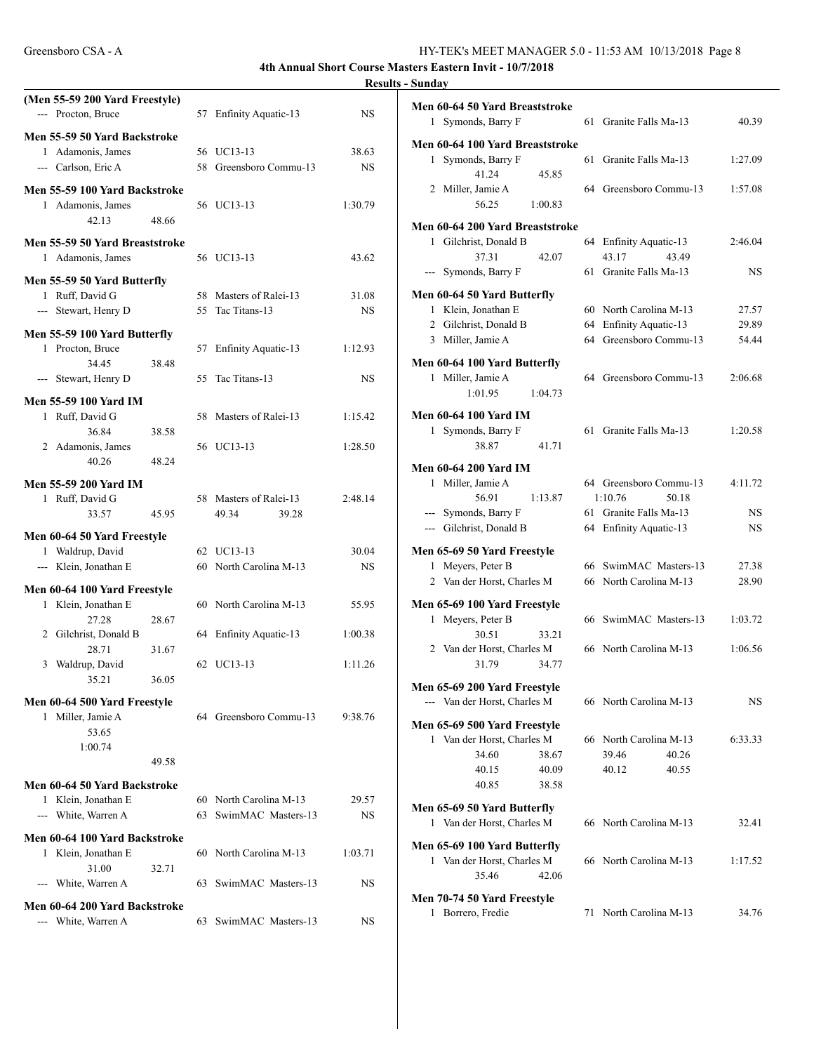| (Men 55-59 200 Yard Freestyle)<br>--- Procton, Bruce | 57 Enfinity Aquatic-13                          | <b>NS</b>          | Men 60-64 50 Yard Breaststroke<br>1 Symonds, Barry F<br>61 Granite Falls Ma-13                      | 40.39                  |
|------------------------------------------------------|-------------------------------------------------|--------------------|-----------------------------------------------------------------------------------------------------|------------------------|
| Men 55-59 50 Yard Backstroke                         |                                                 |                    |                                                                                                     |                        |
| 1 Adamonis, James<br>--- Carlson, Eric A             | 56 UC13-13<br>58 Greensboro Commu-13            | 38.63<br><b>NS</b> | Men 60-64 100 Yard Breaststroke<br>1 Symonds, Barry F<br>61 Granite Falls Ma-13<br>45.85<br>41.24   | 1:27.09                |
| Men 55-59 100 Yard Backstroke<br>1 Adamonis, James   | 56 UC13-13                                      | 1:30.79            | 2 Miller, Jamie A<br>64 Greensboro Commu-13<br>1:00.83<br>56.25                                     | 1:57.08                |
| 42.13<br>48.66                                       |                                                 |                    | Men 60-64 200 Yard Breaststroke                                                                     |                        |
| Men 55-59 50 Yard Breaststroke<br>1 Adamonis, James  | 56 UC13-13                                      | 43.62              | 1 Gilchrist, Donald B<br>64 Enfinity Aquatic-13<br>37.31<br>42.07<br>43.17<br>43.49                 | 2:46.04                |
|                                                      |                                                 |                    | --- Symonds, Barry F<br>61 Granite Falls Ma-13                                                      | <b>NS</b>              |
| Men 55-59 50 Yard Butterfly<br>1 Ruff, David G       | 58 Masters of Ralei-13                          | 31.08              | Men 60-64 50 Yard Butterfly                                                                         |                        |
| --- Stewart, Henry D                                 | 55 Tac Titans-13                                | <b>NS</b>          | 60 North Carolina M-13<br>1 Klein, Jonathan E                                                       | 27.57                  |
|                                                      |                                                 |                    | 64 Enfinity Aquatic-13<br>2 Gilchrist, Donald B                                                     | 29.89                  |
| Men 55-59 100 Yard Butterfly<br>1 Procton, Bruce     | 57 Enfinity Aquatic-13                          | 1:12.93            | 64 Greensboro Commu-13<br>3 Miller, Jamie A                                                         | 54.44                  |
| 34.45<br>38.48                                       |                                                 |                    | Men 60-64 100 Yard Butterfly                                                                        |                        |
| --- Stewart, Henry D                                 | 55 Tac Titans-13                                | <b>NS</b>          | 64 Greensboro Commu-13<br>1 Miller, Jamie A<br>1:01.95<br>1:04.73                                   | 2:06.68                |
| <b>Men 55-59 100 Yard IM</b>                         |                                                 |                    |                                                                                                     |                        |
| 1 Ruff, David G<br>36.84<br>38.58                    | 58 Masters of Ralei-13                          | 1:15.42            | <b>Men 60-64 100 Yard IM</b><br>1 Symonds, Barry F<br>61 Granite Falls Ma-13                        | 1:20.58                |
| 2 Adamonis, James                                    | 56 UC13-13                                      | 1:28.50            | 41.71<br>38.87                                                                                      |                        |
| 48.24<br>40.26                                       |                                                 |                    | <b>Men 60-64 200 Yard IM</b>                                                                        |                        |
| <b>Men 55-59 200 Yard IM</b>                         |                                                 |                    | 64 Greensboro Commu-13<br>1 Miller, Jamie A                                                         | 4:11.72                |
| 1 Ruff, David G                                      | 58 Masters of Ralei-13                          | 2:48.14            | 56.91<br>1:10.76<br>50.18<br>1:13.87                                                                |                        |
| 33.57<br>45.95                                       | 49.34<br>39.28                                  |                    | --- Symonds, Barry F<br>61 Granite Falls Ma-13<br>--- Gilchrist, Donald B<br>64 Enfinity Aquatic-13 | <b>NS</b><br><b>NS</b> |
| Men 60-64 50 Yard Freestyle                          |                                                 |                    |                                                                                                     |                        |
| 1 Waldrup, David                                     | 62 UC13-13                                      | 30.04              | Men 65-69 50 Yard Freestyle                                                                         |                        |
| --- Klein, Jonathan E                                | 60 North Carolina M-13                          | <b>NS</b>          | 1 Meyers, Peter B<br>66 SwimMAC Masters-13<br>66 North Carolina M-13<br>2 Van der Horst, Charles M  | 27.38<br>28.90         |
| Men 60-64 100 Yard Freestyle                         |                                                 |                    |                                                                                                     |                        |
| 1 Klein, Jonathan E                                  | 60 North Carolina M-13                          | 55.95              | Men 65-69 100 Yard Freestyle<br>1 Meyers, Peter B<br>66 SwimMAC Masters-13                          | 1:03.72                |
| 27.28<br>28.67<br>2 Gilchrist, Donald B              | 64 Enfinity Aquatic-13                          | 1:00.38            | 30.51<br>33.21                                                                                      |                        |
| 28.71<br>31.67                                       |                                                 |                    | 2 Van der Horst, Charles M<br>66 North Carolina M-13                                                | 1:06.56                |
| 3 Waldrup, David                                     | 62 UC13-13                                      | 1:11.26            | 31.79<br>34.77                                                                                      |                        |
| 36.05<br>35.21                                       |                                                 |                    | Men 65-69 200 Yard Freestyle                                                                        |                        |
| Men 60-64 500 Yard Freestyle                         |                                                 |                    | --- Van der Horst, Charles M<br>66 North Carolina M-13                                              | <b>NS</b>              |
| 1 Miller, Jamie A                                    | 64 Greensboro Commu-13                          | 9:38.76            | Men 65-69 500 Yard Freestyle                                                                        |                        |
| 53.65                                                |                                                 |                    | 1 Van der Horst, Charles M<br>66 North Carolina M-13                                                | 6:33.33                |
| 1:00.74<br>49.58                                     |                                                 |                    | 40.26<br>34.60<br>38.67<br>39.46                                                                    |                        |
|                                                      |                                                 |                    | 40.15<br>40.09<br>40.12<br>40.55                                                                    |                        |
| Men 60-64 50 Yard Backstroke                         |                                                 |                    | 40.85<br>38.58                                                                                      |                        |
| 1 Klein, Jonathan E<br>--- White, Warren A           | 60 North Carolina M-13<br>63 SwimMAC Masters-13 | 29.57              | Men 65-69 50 Yard Butterfly                                                                         |                        |
|                                                      |                                                 | <b>NS</b>          | 66 North Carolina M-13<br>1 Van der Horst, Charles M                                                | 32.41                  |
| Men 60-64 100 Yard Backstroke                        |                                                 |                    | Men 65-69 100 Yard Butterfly                                                                        |                        |
| 1 Klein, Jonathan E<br>31.00<br>32.71                | 60 North Carolina M-13                          | 1:03.71            | 1 Van der Horst, Charles M<br>66 North Carolina M-13                                                | 1:17.52                |
| --- White, Warren A                                  | 63 SwimMAC Masters-13                           | NS                 | 35.46<br>42.06                                                                                      |                        |
| Men 60-64 200 Yard Backstroke                        |                                                 |                    | Men 70-74 50 Yard Freestyle                                                                         |                        |
| --- White, Warren A                                  | 63 SwimMAC Masters-13                           | NS                 | 71 North Carolina M-13<br>1 Borrero, Fredie                                                         | 34.76                  |
|                                                      |                                                 |                    |                                                                                                     |                        |